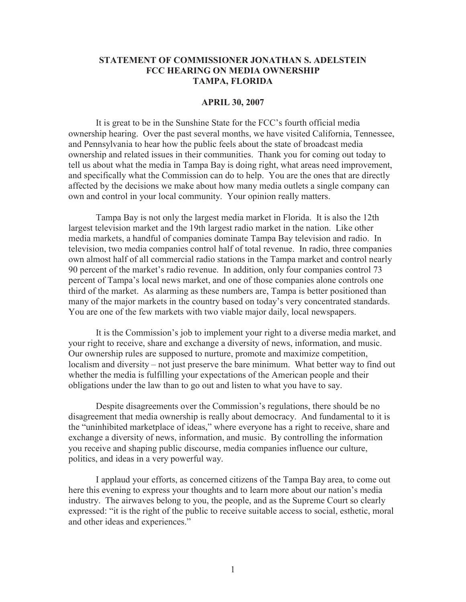## **STATEMENT OF COMMISSIONER JONATHAN S. ADELSTEIN FCC HEARING ON MEDIA OWNERSHIP TAMPA, FLORIDA**

## **APRIL 30, 2007**

It is great to be in the Sunshine State for the FCC's fourth official media ownership hearing. Over the past several months, we have visited California, Tennessee, and Pennsylvania to hear how the public feels about the state of broadcast media ownership and related issues in their communities. Thank you for coming out today to tell us about what the media in Tampa Bay is doing right, what areas need improvement, and specifically what the Commission can do to help. You are the ones that are directly affected by the decisions we make about how many media outlets a single company can own and control in your local community. Your opinion really matters.

Tampa Bay is not only the largest media market in Florida. It is also the 12th largest television market and the 19th largest radio market in the nation. Like other media markets, a handful of companies dominate Tampa Bay television and radio. In television, two media companies control half of total revenue. In radio, three companies own almost half of all commercial radio stations in the Tampa market and control nearly 90 percent of the market's radio revenue. In addition, only four companies control 73 percent of Tampa's local news market, and one of those companies alone controls one third of the market. As alarming as these numbers are, Tampa is better positioned than many of the major markets in the country based on today's very concentrated standards. You are one of the few markets with two viable major daily, local newspapers.

It is the Commission's job to implement your right to a diverse media market, and your right to receive, share and exchange a diversity of news, information, and music. Our ownership rules are supposed to nurture, promote and maximize competition, localism and diversity – not just preserve the bare minimum. What better way to find out whether the media is fulfilling your expectations of the American people and their obligations under the law than to go out and listen to what you have to say.

Despite disagreements over the Commission's regulations, there should be no disagreement that media ownership is really about democracy. And fundamental to it is the "uninhibited marketplace of ideas," where everyone has a right to receive, share and exchange a diversity of news, information, and music. By controlling the information you receive and shaping public discourse, media companies influence our culture, politics, and ideas in a very powerful way.

I applaud your efforts, as concerned citizens of the Tampa Bay area, to come out here this evening to express your thoughts and to learn more about our nation's media industry. The airwaves belong to you, the people, and as the Supreme Court so clearly expressed: "it is the right of the public to receive suitable access to social, esthetic, moral and other ideas and experiences."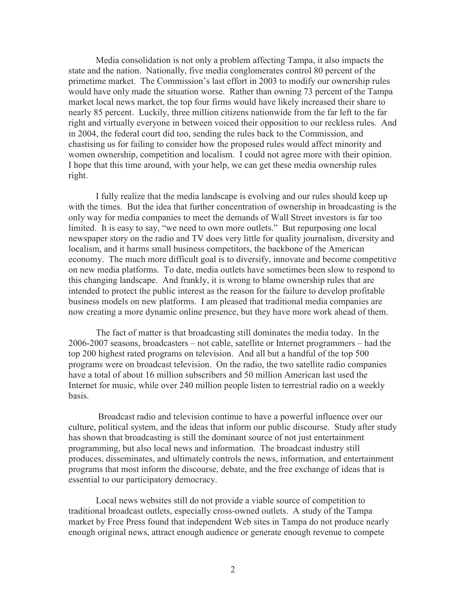Media consolidation is not only a problem affecting Tampa, it also impacts the state and the nation. Nationally, five media conglomerates control 80 percent of the primetime market. The Commission's last effort in 2003 to modify our ownership rules would have only made the situation worse. Rather than owning 73 percent of the Tampa market local news market, the top four firms would have likely increased their share to nearly 85 percent. Luckily, three million citizens nationwide from the far left to the far right and virtually everyone in between voiced their opposition to our reckless rules. And in 2004, the federal court did too, sending the rules back to the Commission, and chastising us for failing to consider how the proposed rules would affect minority and women ownership, competition and localism. I could not agree more with their opinion. I hope that this time around, with your help, we can get these media ownership rules right.

I fully realize that the media landscape is evolving and our rules should keep up with the times. But the idea that further concentration of ownership in broadcasting is the only way for media companies to meet the demands of Wall Street investors is far too limited. It is easy to say, "we need to own more outlets." But repurposing one local newspaper story on the radio and TV does very little for quality journalism, diversity and localism, and it harms small business competitors, the backbone of the American economy. The much more difficult goal is to diversify, innovate and become competitive on new media platforms. To date, media outlets have sometimes been slow to respond to this changing landscape. And frankly, it is wrong to blame ownership rules that are intended to protect the public interest as the reason for the failure to develop profitable business models on new platforms. I am pleased that traditional media companies are now creating a more dynamic online presence, but they have more work ahead of them.

The fact of matter is that broadcasting still dominates the media today. In the 2006-2007 seasons, broadcasters – not cable, satellite or Internet programmers – had the top 200 highest rated programs on television. And all but a handful of the top 500 programs were on broadcast television. On the radio, the two satellite radio companies have a total of about 16 million subscribers and 50 million American last used the Internet for music, while over 240 million people listen to terrestrial radio on a weekly basis.

Broadcast radio and television continue to have a powerful influence over our culture, political system, and the ideas that inform our public discourse. Study after study has shown that broadcasting is still the dominant source of not just entertainment programming, but also local news and information. The broadcast industry still produces, disseminates, and ultimately controls the news, information, and entertainment programs that most inform the discourse, debate, and the free exchange of ideas that is essential to our participatory democracy.

Local news websites still do not provide a viable source of competition to traditional broadcast outlets, especially cross-owned outlets. A study of the Tampa market by Free Press found that independent Web sites in Tampa do not produce nearly enough original news, attract enough audience or generate enough revenue to compete